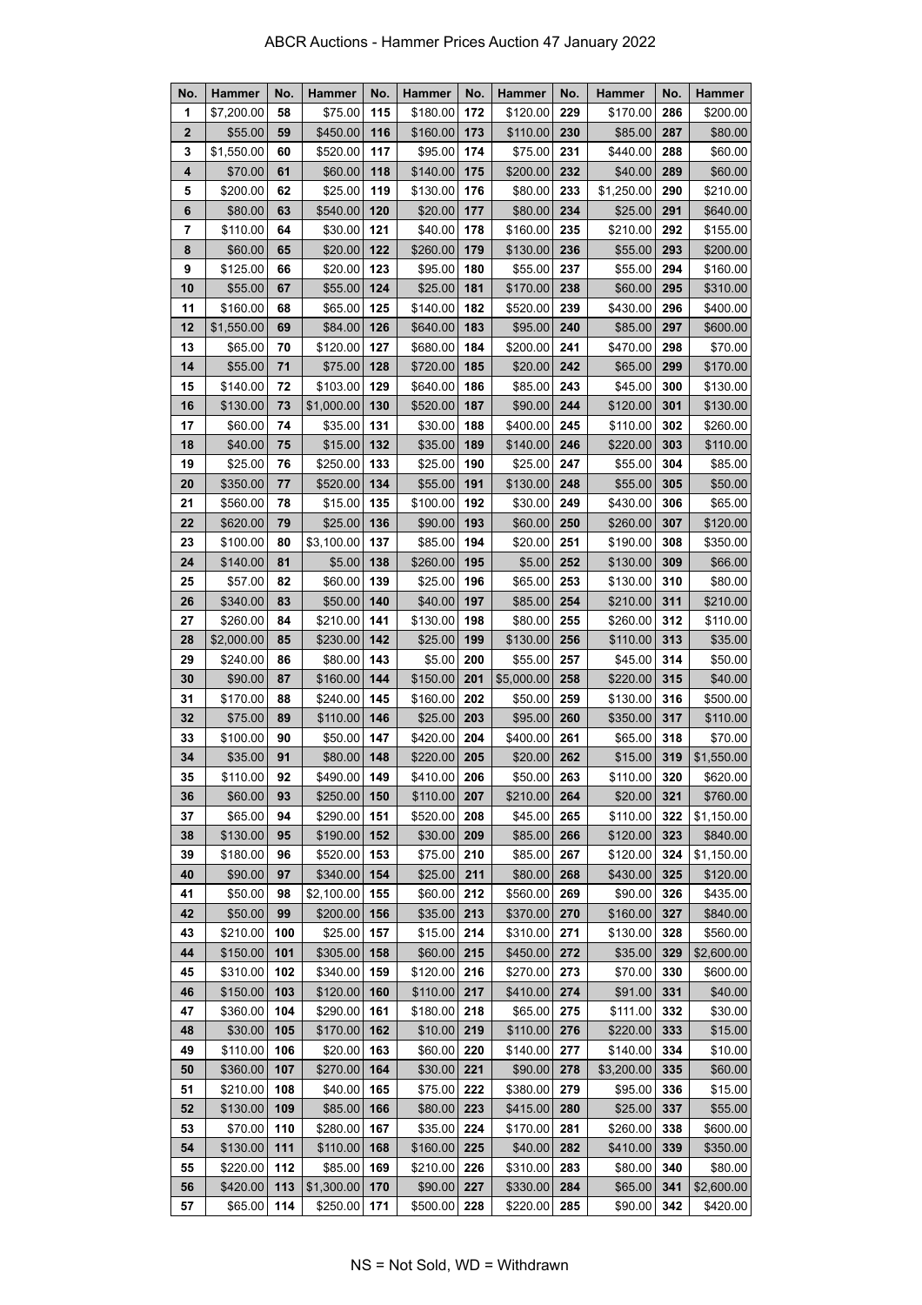| No.          | <b>Hammer</b> | No. | <b>Hammer</b> | No. | <b>Hammer</b> | No. | <b>Hammer</b> | No. | <b>Hammer</b> | No. | <b>Hammer</b> |
|--------------|---------------|-----|---------------|-----|---------------|-----|---------------|-----|---------------|-----|---------------|
| 1            | \$7,200.00    | 58  | \$75.00       | 115 | \$180.00      | 172 | \$120.00      | 229 | \$170.00      | 286 | \$200.00      |
| $\mathbf{2}$ | \$55.00       | 59  | \$450.00      | 116 | \$160.00      | 173 | \$110.00      | 230 | \$85.00       | 287 | \$80.00       |
| 3            | \$1,550.00    | 60  | \$520.00      | 117 | \$95.00       | 174 | \$75.00       | 231 | \$440.00      | 288 | \$60.00       |
| 4            | \$70.00       | 61  | \$60.00       | 118 | \$140.00      | 175 | \$200.00      | 232 | \$40.00       | 289 | \$60.00       |
| 5            | \$200.00      | 62  | \$25.00       | 119 | \$130.00      | 176 | \$80.00       | 233 | \$1,250.00    | 290 | \$210.00      |
| 6            | \$80.00       | 63  | \$540.00      | 120 | \$20.00       | 177 | \$80.00       | 234 | \$25.00       | 291 | \$640.00      |
| 7            | \$110.00      | 64  | \$30.00       | 121 | \$40.00       | 178 | \$160.00      | 235 | \$210.00      | 292 | \$155.00      |
| 8            | \$60.00       | 65  | \$20.00       | 122 | \$260.00      | 179 | \$130.00      | 236 | \$55.00       | 293 | \$200.00      |
| 9            | \$125.00      | 66  | \$20.00       | 123 | \$95.00       | 180 | \$55.00       | 237 | \$55.00       | 294 | \$160.00      |
| 10           | \$55.00       | 67  | \$55.00       | 124 | \$25.00       | 181 | \$170.00      | 238 | \$60.00       | 295 | \$310.00      |
| 11           | \$160.00      | 68  | \$65.00       | 125 | \$140.00      | 182 | \$520.00      | 239 | \$430.00      | 296 | \$400.00      |
| 12           | \$1,550.00    | 69  | \$84.00       | 126 | \$640.00      | 183 | \$95.00       | 240 | \$85.00       | 297 | \$600.00      |
| 13           | \$65.00       | 70  | \$120.00      | 127 | \$680.00      | 184 | \$200.00      | 241 | \$470.00      | 298 | \$70.00       |
| 14           | \$55.00       | 71  | \$75.00       | 128 | \$720.00      | 185 | \$20.00       | 242 | \$65.00       | 299 | \$170.00      |
| 15           | \$140.00      | 72  | \$103.00      | 129 | \$640.00      | 186 | \$85.00       | 243 | \$45.00       | 300 | \$130.00      |
| 16           | \$130.00      | 73  | \$1,000.00    | 130 | \$520.00      | 187 | \$90.00       | 244 | \$120.00      | 301 | \$130.00      |
| 17           | \$60.00       | 74  | \$35.00       | 131 | \$30.00       | 188 | \$400.00      | 245 | \$110.00      | 302 | \$260.00      |
| 18           | \$40.00       | 75  | \$15.00       | 132 | \$35.00       | 189 | \$140.00      | 246 | \$220.00      | 303 | \$110.00      |
| 19           | \$25.00       | 76  | \$250.00      | 133 | \$25.00       | 190 | \$25.00       | 247 | \$55.00       | 304 | \$85.00       |
| 20           | \$350.00      | 77  | \$520.00      | 134 | \$55.00       | 191 | \$130.00      | 248 | \$55.00       | 305 | \$50.00       |
| 21           | \$560.00      | 78  | \$15.00       | 135 | \$100.00      | 192 | \$30.00       | 249 | \$430.00      | 306 | \$65.00       |
| 22           | \$620.00      | 79  | \$25.00       | 136 | \$90.00       | 193 | \$60.00       | 250 | \$260.00      | 307 | \$120.00      |
| 23           | \$100.00      | 80  | \$3,100.00    | 137 | \$85.00       | 194 | \$20.00       | 251 | \$190.00      | 308 | \$350.00      |
| 24           | \$140.00      | 81  | \$5.00        | 138 | \$260.00      | 195 | \$5.00        | 252 | \$130.00      | 309 | \$66.00       |
| 25           | \$57.00       | 82  | \$60.00       | 139 | \$25.00       | 196 | \$65.00       | 253 | \$130.00      | 310 | \$80.00       |
| 26           | \$340.00      | 83  | \$50.00       | 140 | \$40.00       | 197 | \$85.00       | 254 | \$210.00      | 311 | \$210.00      |
| 27           | \$260.00      | 84  | \$210.00      | 141 | \$130.00      | 198 | \$80.00       | 255 | \$260.00      | 312 | \$110.00      |
| 28           | \$2,000.00    | 85  | \$230.00      | 142 | \$25.00       | 199 | \$130.00      | 256 | \$110.00      | 313 | \$35.00       |
| 29           | \$240.00      | 86  | \$80.00       | 143 | \$5.00        | 200 | \$55.00       | 257 | \$45.00       | 314 | \$50.00       |
| 30           | \$90.00       | 87  | \$160.00      | 144 | \$150.00      | 201 | \$5,000.00    | 258 | \$220.00      | 315 | \$40.00       |
| 31           | \$170.00      | 88  | \$240.00      | 145 | \$160.00      | 202 | \$50.00       | 259 | \$130.00      | 316 | \$500.00      |
| 32           | \$75.00       | 89  | \$110.00      | 146 | \$25.00       | 203 | \$95.00       | 260 | \$350.00      | 317 | \$110.00      |
| 33           | \$100.00      | 90  | \$50.00       | 147 | \$420.00      | 204 | \$400.00      | 261 | \$65.00       | 318 | \$70.00       |
| 34           | \$35.00       | 91  | \$80.00       | 148 | \$220.00      | 205 | \$20.00       | 262 | \$15.00       | 319 | \$1,550.00    |
| 35           | \$110.00      | 92  | $$490.00$ 149 |     | \$410.00      | 206 | \$50.00       | 263 | \$110.00      | 320 | \$620.00      |
| 36           | \$60.00       | 93  | \$250.00      | 150 | \$110.00      | 207 | \$210.00      | 264 | \$20.00       | 321 | \$760.00      |
| 37           | \$65.00       | 94  | \$290.00      | 151 | \$520.00      | 208 | \$45.00       | 265 | \$110.00      | 322 | \$1,150.00    |
| 38           | \$130.00      | 95  | \$190.00      | 152 | \$30.00       | 209 | \$85.00       | 266 | \$120.00      | 323 | \$840.00      |
| 39           | \$180.00      | 96  | \$520.00      | 153 | \$75.00       | 210 | \$85.00       | 267 | \$120.00      | 324 | \$1,150.00    |
| 40           | \$90.00       | 97  | \$340.00      | 154 | \$25.00       | 211 | \$80.00       | 268 | \$430.00      | 325 | \$120.00      |
| 41           | \$50.00       | 98  | \$2,100.00    | 155 | \$60.00       | 212 | \$560.00      | 269 | \$90.00       | 326 | \$435.00      |
| 42           | \$50.00       | 99  | \$200.00      | 156 | \$35.00       | 213 | \$370.00      | 270 | \$160.00      | 327 | \$840.00      |
| 43           | \$210.00      | 100 | \$25.00       | 157 | \$15.00       | 214 | \$310.00      | 271 | \$130.00      | 328 | \$560.00      |
| 44           | \$150.00      | 101 | \$305.00      | 158 | \$60.00       | 215 | \$450.00      | 272 | \$35.00       | 329 | \$2,600.00    |
| 45           | \$310.00      | 102 | \$340.00      | 159 | \$120.00      | 216 | \$270.00      | 273 | \$70.00       | 330 | \$600.00      |
| 46           | \$150.00      | 103 | \$120.00      | 160 | \$110.00      | 217 | \$410.00      | 274 | \$91.00       | 331 | \$40.00       |
| 47           | \$360.00      | 104 | \$290.00      | 161 | \$180.00      | 218 | \$65.00       | 275 | \$111.00      | 332 | \$30.00       |
| 48           | \$30.00       | 105 | \$170.00      | 162 | \$10.00       | 219 | \$110.00      | 276 | \$220.00      | 333 | \$15.00       |
| 49           | \$110.00      | 106 | \$20.00       | 163 | \$60.00       | 220 | \$140.00      | 277 | \$140.00      | 334 | \$10.00       |
| 50           | \$360.00      | 107 | \$270.00      | 164 | \$30.00       | 221 | \$90.00       | 278 | \$3,200.00    | 335 | \$60.00       |
| 51           | \$210.00      | 108 | \$40.00       | 165 | \$75.00       | 222 | \$380.00      | 279 | \$95.00       | 336 | \$15.00       |
| 52           | \$130.00      | 109 | \$85.00       | 166 | \$80.00       | 223 | \$415.00      | 280 | \$25.00       | 337 | \$55.00       |
| 53           | \$70.00       | 110 | \$280.00      | 167 | \$35.00       | 224 | \$170.00      | 281 | \$260.00      | 338 | \$600.00      |
| 54           | \$130.00      | 111 | \$110.00      | 168 | \$160.00      | 225 | \$40.00       | 282 | \$410.00      | 339 | \$350.00      |
| 55           | \$220.00      | 112 | \$85.00       | 169 | \$210.00      | 226 | \$310.00      | 283 | \$80.00       | 340 | \$80.00       |
| 56           | \$420.00      | 113 | \$1,300.00    | 170 | \$90.00       | 227 | \$330.00      | 284 | \$65.00       | 341 | \$2,600.00    |
| 57           | \$65.00       | 114 | \$250.00      | 171 | \$500.00      | 228 | \$220.00      | 285 | \$90.00       | 342 | \$420.00      |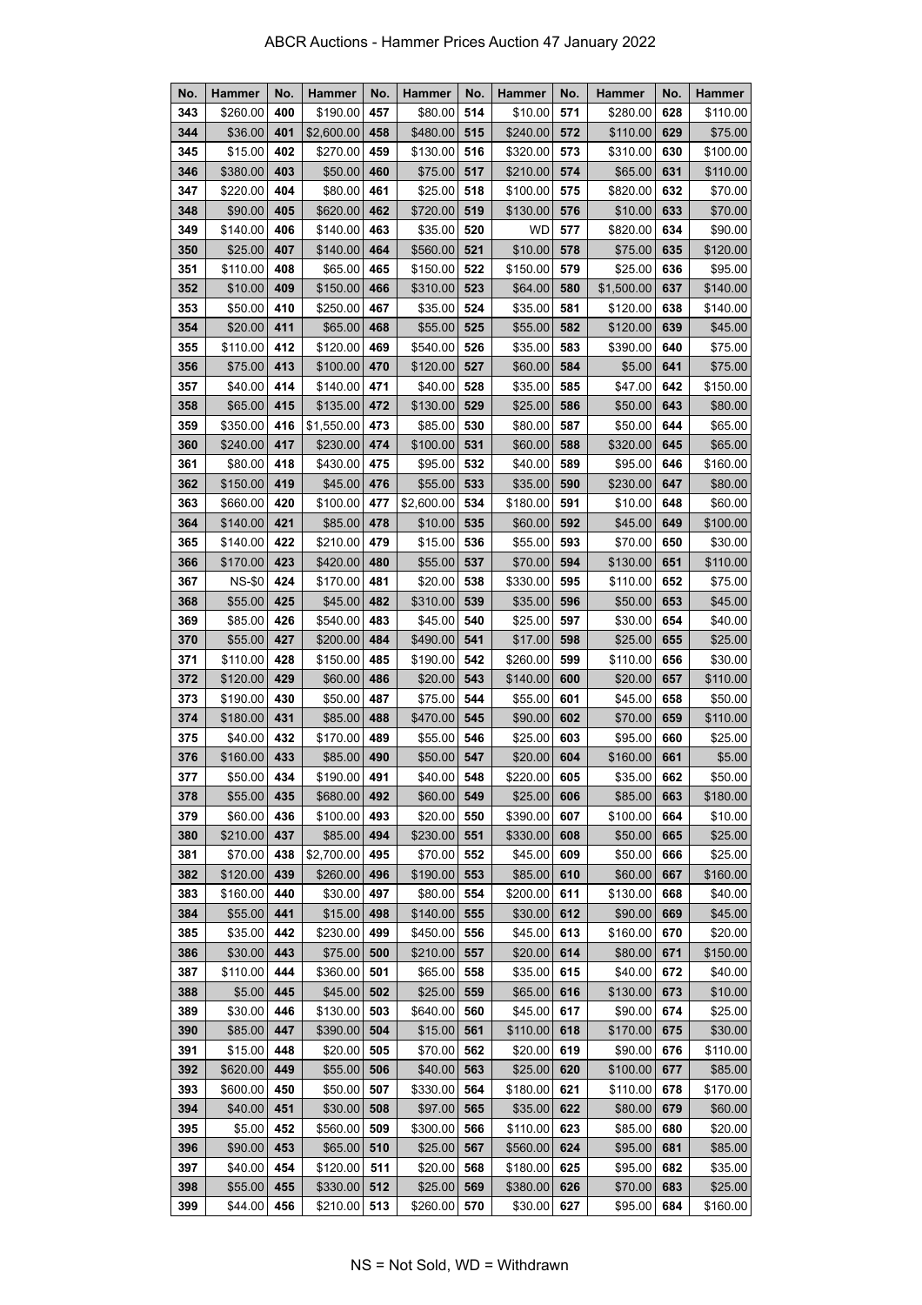| No. | Hammer        | No. | Hammer     | No. | <b>Hammer</b> | No. | Hammer    | No. | <b>Hammer</b> | No. | <b>Hammer</b> |
|-----|---------------|-----|------------|-----|---------------|-----|-----------|-----|---------------|-----|---------------|
| 343 | \$260.00      | 400 | \$190.00   | 457 | \$80.00       | 514 | \$10.00   | 571 | \$280.00      | 628 | \$110.00      |
| 344 | \$36.00       | 401 | \$2,600.00 | 458 | \$480.00      | 515 | \$240.00  | 572 | \$110.00      | 629 | \$75.00       |
| 345 | \$15.00       | 402 | \$270.00   | 459 | \$130.00      | 516 | \$320.00  | 573 | \$310.00      | 630 | \$100.00      |
| 346 | \$380.00      | 403 | \$50.00    | 460 | \$75.00       | 517 | \$210.00  | 574 | \$65.00       | 631 | \$110.00      |
| 347 | \$220.00      | 404 | \$80.00    | 461 | \$25.00       | 518 | \$100.00  | 575 | \$820.00      | 632 | \$70.00       |
| 348 | \$90.00       | 405 | \$620.00   | 462 | \$720.00      | 519 | \$130.00  | 576 | \$10.00       | 633 | \$70.00       |
| 349 | \$140.00      | 406 | \$140.00   | 463 | \$35.00       | 520 | <b>WD</b> | 577 | \$820.00      | 634 | \$90.00       |
| 350 | \$25.00       | 407 | \$140.00   | 464 | \$560.00      | 521 | \$10.00   | 578 | \$75.00       | 635 | \$120.00      |
| 351 | \$110.00      | 408 | \$65.00    | 465 | \$150.00      | 522 | \$150.00  | 579 | \$25.00       | 636 | \$95.00       |
| 352 | \$10.00       | 409 | \$150.00   | 466 | \$310.00      | 523 | \$64.00   | 580 | \$1,500.00    | 637 | \$140.00      |
| 353 | \$50.00       | 410 | \$250.00   | 467 | \$35.00       | 524 | \$35.00   | 581 | \$120.00      | 638 | \$140.00      |
| 354 | \$20.00       | 411 | \$65.00    | 468 | \$55.00       | 525 | \$55.00   | 582 | \$120.00      | 639 | \$45.00       |
| 355 | \$110.00      | 412 | \$120.00   | 469 | \$540.00      | 526 | \$35.00   | 583 | \$390.00      | 640 | \$75.00       |
| 356 | \$75.00       | 413 | \$100.00   | 470 | \$120.00      | 527 | \$60.00   | 584 | \$5.00        | 641 | \$75.00       |
| 357 | \$40.00       | 414 | \$140.00   | 471 | \$40.00       | 528 | \$35.00   | 585 | \$47.00       | 642 | \$150.00      |
| 358 | \$65.00       | 415 | \$135.00   | 472 | \$130.00      | 529 | \$25.00   | 586 | \$50.00       | 643 | \$80.00       |
| 359 | \$350.00      | 416 | \$1,550.00 | 473 | \$85.00       | 530 | \$80.00   | 587 | \$50.00       | 644 | \$65.00       |
| 360 | \$240.00      | 417 | \$230.00   | 474 | \$100.00      | 531 | \$60.00   | 588 | \$320.00      | 645 | \$65.00       |
| 361 | \$80.00       | 418 | \$430.00   | 475 | \$95.00       | 532 | \$40.00   | 589 | \$95.00       | 646 | \$160.00      |
| 362 | \$150.00      | 419 | \$45.00    | 476 | \$55.00       | 533 | \$35.00   | 590 | \$230.00      | 647 | \$80.00       |
| 363 | \$660.00      | 420 | \$100.00   | 477 | \$2,600.00    | 534 | \$180.00  | 591 | \$10.00       | 648 | \$60.00       |
| 364 | \$140.00      | 421 | \$85.00    | 478 | \$10.00       | 535 | \$60.00   | 592 | \$45.00       | 649 | \$100.00      |
| 365 | \$140.00      | 422 | \$210.00   | 479 | \$15.00       | 536 | \$55.00   | 593 | \$70.00       | 650 | \$30.00       |
| 366 | \$170.00      | 423 | \$420.00   | 480 | \$55.00       | 537 | \$70.00   | 594 | \$130.00      | 651 | \$110.00      |
| 367 | <b>NS-\$0</b> | 424 | \$170.00   | 481 | \$20.00       | 538 | \$330.00  | 595 | \$110.00      | 652 | \$75.00       |
| 368 | \$55.00       | 425 | \$45.00    | 482 | \$310.00      | 539 | \$35.00   | 596 | \$50.00       | 653 | \$45.00       |
| 369 | \$85.00       | 426 | \$540.00   | 483 | \$45.00       | 540 | \$25.00   | 597 | \$30.00       | 654 | \$40.00       |
| 370 | \$55.00       | 427 | \$200.00   | 484 | \$490.00      | 541 | \$17.00   | 598 | \$25.00       | 655 | \$25.00       |
| 371 | \$110.00      | 428 | \$150.00   | 485 | \$190.00      | 542 | \$260.00  | 599 | \$110.00      | 656 | \$30.00       |
| 372 | \$120.00      | 429 | \$60.00    | 486 | \$20.00       | 543 | \$140.00  | 600 | \$20.00       | 657 | \$110.00      |
| 373 | \$190.00      | 430 | \$50.00    | 487 | \$75.00       | 544 | \$55.00   | 601 | \$45.00       | 658 | \$50.00       |
| 374 | \$180.00      | 431 | \$85.00    | 488 | \$470.00      | 545 | \$90.00   | 602 | \$70.00       | 659 | \$110.00      |
| 375 | \$40.00       | 432 | \$170.00   | 489 | \$55.00       | 546 | \$25.00   | 603 | \$95.00       | 660 | \$25.00       |
| 376 | \$160.00      | 433 | \$85.00    | 490 | \$50.00       | 547 | \$20.00   | 604 | \$160.00      | 661 | \$5.00        |
| 377 | \$50.00       | 434 | \$190.00   | 491 | \$40.00       | 548 | \$220.00  | 605 | \$35.00       | 662 | \$50.00       |
| 378 | \$55.00       | 435 | \$680.00   | 492 | \$60.00       | 549 | \$25.00   | 606 | \$85.00       | 663 | \$180.00      |
| 379 | \$60.00       | 436 | \$100.00   | 493 | \$20.00       | 550 | \$390.00  | 607 | \$100.00      | 664 | \$10.00       |
| 380 | \$210.00      | 437 | \$85.00    | 494 | \$230.00      | 551 | \$330.00  | 608 | \$50.00       | 665 | \$25.00       |
| 381 | \$70.00       | 438 | \$2,700.00 | 495 | \$70.00       | 552 | \$45.00   | 609 | \$50.00       | 666 | \$25.00       |
| 382 | \$120.00      | 439 | \$260.00   | 496 | \$190.00      | 553 | \$85.00   | 610 | \$60.00       | 667 | \$160.00      |
| 383 | \$160.00      | 440 | \$30.00    | 497 | \$80.00       | 554 | \$200.00  | 611 | \$130.00      | 668 | \$40.00       |
| 384 | \$55.00       | 441 | \$15.00    | 498 | \$140.00      | 555 | \$30.00   | 612 | \$90.00       | 669 | \$45.00       |
| 385 | \$35.00       | 442 | \$230.00   | 499 | \$450.00      | 556 | \$45.00   | 613 | \$160.00      | 670 | \$20.00       |
| 386 | \$30.00       | 443 | \$75.00    | 500 | \$210.00      | 557 | \$20.00   | 614 | \$80.00       | 671 | \$150.00      |
| 387 | \$110.00      | 444 | \$360.00   | 501 | \$65.00       | 558 | \$35.00   | 615 | \$40.00       | 672 | \$40.00       |
| 388 | \$5.00        | 445 | \$45.00    | 502 | \$25.00       | 559 | \$65.00   | 616 | \$130.00      | 673 | \$10.00       |
| 389 | \$30.00       | 446 | \$130.00   | 503 | \$640.00      | 560 | \$45.00   | 617 | \$90.00       | 674 | \$25.00       |
| 390 | \$85.00       | 447 | \$390.00   | 504 | \$15.00       | 561 | \$110.00  | 618 | \$170.00      | 675 | \$30.00       |
| 391 | \$15.00       | 448 | \$20.00    | 505 | \$70.00       | 562 | \$20.00   | 619 | \$90.00       | 676 | \$110.00      |
| 392 | \$620.00      | 449 | \$55.00    | 506 | \$40.00       | 563 | \$25.00   | 620 | \$100.00      | 677 | \$85.00       |
| 393 | \$600.00      | 450 | \$50.00    | 507 | \$330.00      | 564 | \$180.00  | 621 | \$110.00      | 678 | \$170.00      |
| 394 | \$40.00       | 451 | \$30.00    | 508 | \$97.00       | 565 | \$35.00   | 622 | \$80.00       | 679 | \$60.00       |
| 395 | \$5.00        | 452 | \$560.00   | 509 | \$300.00      | 566 | \$110.00  | 623 | \$85.00       | 680 | \$20.00       |
| 396 | \$90.00       | 453 | \$65.00    | 510 | \$25.00       | 567 | \$560.00  | 624 | \$95.00       | 681 | \$85.00       |
| 397 | \$40.00       | 454 | \$120.00   | 511 | \$20.00       | 568 | \$180.00  | 625 | \$95.00       | 682 | \$35.00       |
| 398 | \$55.00       | 455 | \$330.00   | 512 | \$25.00       | 569 | \$380.00  | 626 | \$70.00       | 683 | \$25.00       |
| 399 | \$44.00       | 456 | \$210.00   | 513 | \$260.00      | 570 | \$30.00   | 627 | \$95.00       | 684 | \$160.00      |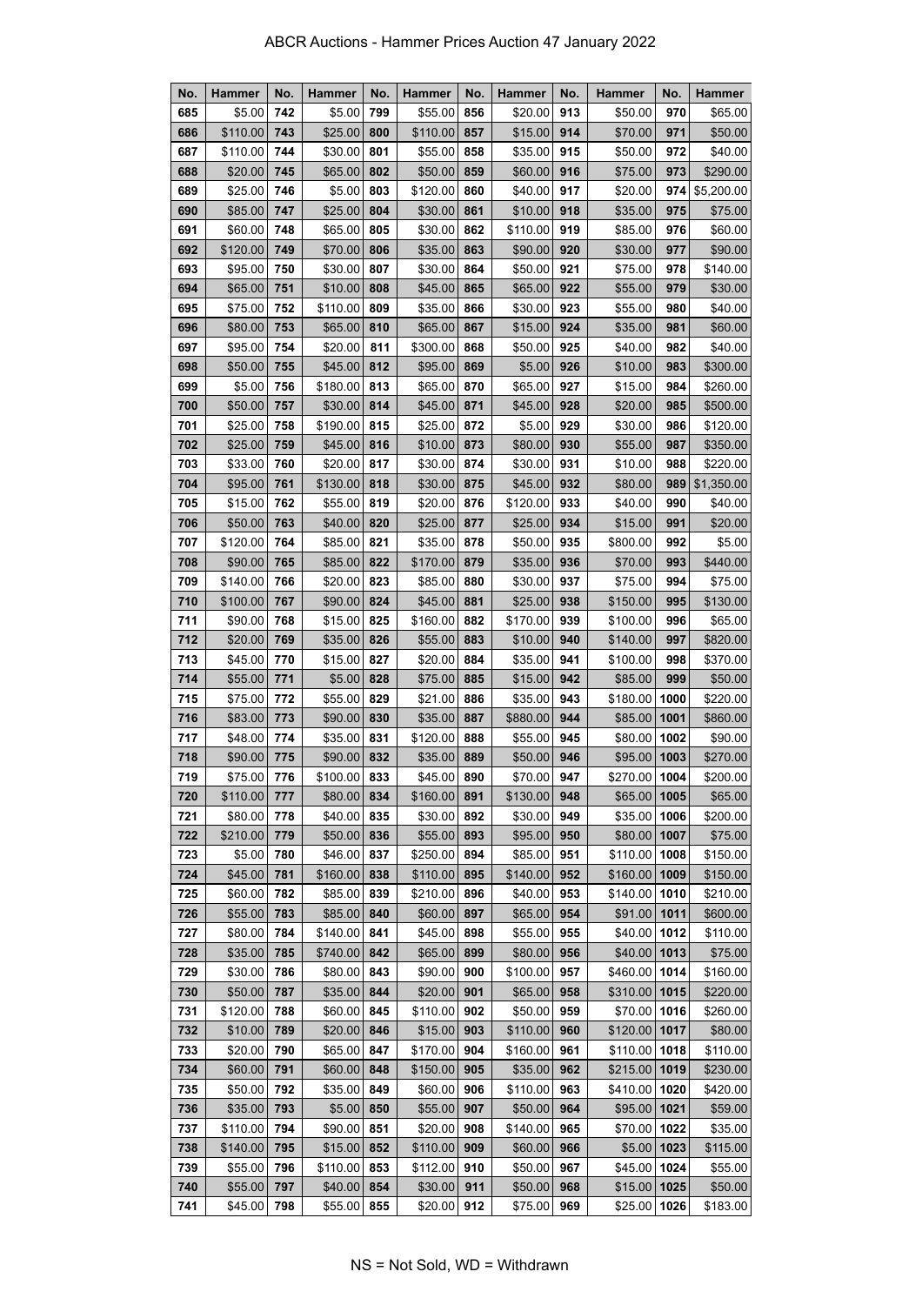| No.        | <b>Hammer</b>       | No.        | Hammer              | No.        | <b>Hammer</b>       | No.        | <b>Hammer</b>       | No.        | Hammer                   | No.  | <b>Hammer</b>        |
|------------|---------------------|------------|---------------------|------------|---------------------|------------|---------------------|------------|--------------------------|------|----------------------|
| 685        | \$5.00              | 742        | \$5.00              | 799        | \$55.00             | 856        | \$20.00             | 913        | \$50.00                  | 970  | \$65.00              |
| 686        | \$110.00            | 743        | \$25.00             | 800        | \$110.00            | 857        | \$15.00             | 914        | \$70.00                  | 971  | \$50.00              |
| 687        | \$110.00            | 744        | \$30.00             | 801        | \$55.00             | 858        | \$35.00             | 915        | \$50.00                  | 972  | \$40.00              |
| 688        | \$20.00             | 745        | \$65.00             | 802        | \$50.00             | 859        | \$60.00             | 916        | \$75.00                  | 973  | \$290.00             |
| 689        | \$25.00             | 746        | \$5.00              | 803        | \$120.00            | 860        | \$40.00             | 917        | \$20.00                  | 974  | \$5,200.00           |
| 690        | \$85.00             | 747        | \$25.00             | 804        | \$30.00             | 861        | \$10.00             | 918        | \$35.00                  | 975  | \$75.00              |
| 691        | \$60.00             | 748        | \$65.00             | 805        | \$30.00             | 862        | \$110.00            | 919        | \$85.00                  | 976  | \$60.00              |
| 692        | \$120.00            | 749        | \$70.00             | 806        | \$35.00             | 863        | \$90.00             | 920        | \$30.00                  | 977  | \$90.00              |
| 693        | \$95.00             | 750        | \$30.00             | 807        | \$30.00             | 864        | \$50.00             | 921        | \$75.00                  | 978  | \$140.00             |
| 694        | \$65.00             | 751        | \$10.00             | 808        | \$45.00             | 865        | \$65.00             | 922        | \$55.00                  | 979  | \$30.00              |
| 695        | \$75.00             | 752        | \$110.00            | 809        | \$35.00             | 866        | \$30.00             | 923        | \$55.00                  | 980  | \$40.00              |
| 696        | \$80.00             | 753        | \$65.00             | 810        | \$65.00             | 867        | \$15.00             | 924        | \$35.00                  | 981  | \$60.00              |
| 697        | \$95.00             | 754        | \$20.00             | 811        | \$300.00            | 868        | \$50.00             | 925        | \$40.00                  | 982  | \$40.00              |
| 698        | \$50.00             | 755        | \$45.00             | 812        | \$95.00             | 869        | \$5.00              | 926        | \$10.00                  | 983  | \$300.00             |
| 699        | \$5.00              | 756        | \$180.00            | 813        | \$65.00             | 870        | \$65.00             | 927        | \$15.00                  | 984  | \$260.00             |
| 700        | \$50.00             | 757        | \$30.00             | 814        | \$45.00             | 871        | \$45.00             | 928        | \$20.00                  | 985  | \$500.00             |
| 701        | \$25.00             | 758        | \$190.00            | 815        | \$25.00             | 872        | \$5.00              | 929        | \$30.00                  | 986  | \$120.00             |
| 702        | \$25.00             | 759        | \$45.00             | 816        | \$10.00             | 873        | \$80.00             | 930        | \$55.00                  | 987  | \$350.00             |
| 703        | \$33.00             | 760        | \$20.00             | 817        | \$30.00             | 874        | \$30.00             | 931        | \$10.00                  | 988  | \$220.00             |
| 704        | \$95.00             | 761        | \$130.00            | 818        | \$30.00             | 875        | \$45.00             | 932        | \$80.00                  | 989  | \$1,350.00           |
| 705        | \$15.00             | 762        | \$55.00             | 819        | \$20.00             | 876        | \$120.00            | 933        | \$40.00                  | 990  | \$40.00              |
| 706        | \$50.00             | 763        | \$40.00             | 820        | \$25.00             | 877        | \$25.00             | 934        | \$15.00                  | 991  | \$20.00              |
| 707        | \$120.00            | 764        | \$85.00             | 821        | \$35.00             | 878        | \$50.00             | 935        | \$800.00                 | 992  | \$5.00               |
| 708        | \$90.00             | 765        | \$85.00             | 822        | \$170.00            | 879        | \$35.00             | 936        | \$70.00                  | 993  | \$440.00             |
| 709        | \$140.00            | 766        | \$20.00             | 823        | \$85.00             | 880        | \$30.00             | 937        | \$75.00                  | 994  | \$75.00              |
| 710        | \$100.00            | 767        | \$90.00             | 824        | \$45.00             | 881        | \$25.00             | 938        | \$150.00                 | 995  | \$130.00             |
| 711        | \$90.00             | 768        | \$15.00             | 825        | \$160.00            | 882        | \$170.00            | 939        | \$100.00                 | 996  | \$65.00              |
| 712        | \$20.00             | 769        | \$35.00             | 826        | \$55.00             | 883        | \$10.00             | 940        | \$140.00                 | 997  | \$820.00             |
| 713        | \$45.00             | 770        | \$15.00             | 827        | \$20.00             | 884        | \$35.00             | 941        | \$100.00                 | 998  | \$370.00             |
| 714        | \$55.00             | 771        | \$5.00              | 828        | \$75.00             | 885        | \$15.00             | 942        | \$85.00                  | 999  | \$50.00              |
| 715        | \$75.00             | 772        | \$55.00             | 829        | \$21.00             | 886        | \$35.00             | 943        | \$180.00                 | 1000 | \$220.00             |
| 716        | \$83.00             | 773        | \$90.00             | 830        | \$35.00             | 887        | \$880.00            | 944        | \$85.00                  | 1001 | \$860.00             |
| 717        | \$48.00             | 774        | \$35.00             | 831        | \$120.00            | 888        | \$55.00             | 945        | \$80.00                  | 1002 | \$90.00              |
| 718        | \$90.00             | 775        | \$90.00             | 832<br>833 | \$35.00             | 889<br>890 | \$50.00             | 946<br>947 | \$95.00<br>\$270.00 1004 | 1003 | \$270.00<br>\$200.00 |
| 719<br>720 | \$75.00<br>\$110.00 | 776<br>777 | \$100.00<br>\$80.00 | 834        | \$45.00<br>\$160.00 | 891        | \$70.00<br>\$130.00 | 948        | \$65.00                  | 1005 | \$65.00              |
| 721        | \$80.00             | 778        | \$40.00             | 835        | \$30.00             | 892        | \$30.00             | 949        | \$35.00                  | 1006 | \$200.00             |
| 722        | \$210.00            | 779        | \$50.00             | 836        | \$55.00             | 893        | \$95.00             | 950        | \$80.00                  | 1007 | \$75.00              |
| 723        | \$5.00              | 780        | \$46.00             | 837        | \$250.00            | 894        | \$85.00             | 951        | \$110.00                 | 1008 | \$150.00             |
| 724        | \$45.00             | 781        | \$160.00            | 838        | \$110.00            | 895        | \$140.00            | 952        | \$160.00                 | 1009 | \$150.00             |
| 725        | \$60.00             | 782        | \$85.00             | 839        | \$210.00            | 896        | \$40.00             | 953        | \$140.00                 | 1010 | \$210.00             |
| 726        | \$55.00             | 783        | \$85.00             | 840        | \$60.00             | 897        | \$65.00             | 954        | \$91.00                  | 1011 | \$600.00             |
| 727        | \$80.00             | 784        | \$140.00            | 841        | \$45.00             | 898        | \$55.00             | 955        | \$40.00                  | 1012 | \$110.00             |
| 728        | \$35.00             | 785        | \$740.00            | 842        | \$65.00             | 899        | \$80.00             | 956        | \$40.00                  | 1013 | \$75.00              |
| 729        | \$30.00             | 786        | \$80.00             | 843        | \$90.00             | 900        | \$100.00            | 957        | \$460.00                 | 1014 | \$160.00             |
| 730        | \$50.00             | 787        | \$35.00             | 844        | \$20.00             | 901        | \$65.00             | 958        | $$310.00 $ 1015          |      | \$220.00             |
| 731        | \$120.00            | 788        | \$60.00             | 845        | \$110.00            | 902        | \$50.00             | 959        | \$70.00                  | 1016 | \$260.00             |
| 732        | \$10.00             | 789        | \$20.00             | 846        | \$15.00             | 903        | \$110.00            | 960        | \$120.00                 | 1017 | \$80.00              |
| 733        | \$20.00             | 790        | \$65.00             | 847        | \$170.00            | 904        | \$160.00            | 961        | \$110.00                 | 1018 | \$110.00             |
| 734        | \$60.00             | 791        | \$60.00             | 848        | \$150.00            | 905        | \$35.00             | 962        | \$215.00                 | 1019 | \$230.00             |
| 735        | \$50.00             | 792        | \$35.00             | 849        | \$60.00             | 906        | \$110.00            | 963        | \$410.00                 | 1020 | \$420.00             |
| 736        | \$35.00             | 793        | \$5.00              | 850        | \$55.00             | 907        | \$50.00             | 964        | \$95.00                  | 1021 | \$59.00              |
| 737        | \$110.00            | 794        | \$90.00             | 851        | \$20.00             | 908        | \$140.00            | 965        | \$70.00                  | 1022 | \$35.00              |
| 738        | \$140.00            | 795        | \$15.00             | 852        | \$110.00            | 909        | \$60.00             | 966        | \$5.00                   | 1023 | \$115.00             |
| 739        | \$55.00             | 796        | \$110.00            | 853        | \$112.00            | 910        | \$50.00             | 967        | \$45.00                  | 1024 | \$55.00              |
| 740        | \$55.00             | 797        | \$40.00             | 854        | \$30.00             | 911        | \$50.00             | 968        | \$15.00                  | 1025 | \$50.00              |
| 741        | \$45.00             | 798        | \$55.00             | 855        | \$20.00             | 912        | \$75.00             | 969        | \$25.00                  | 1026 | \$183.00             |